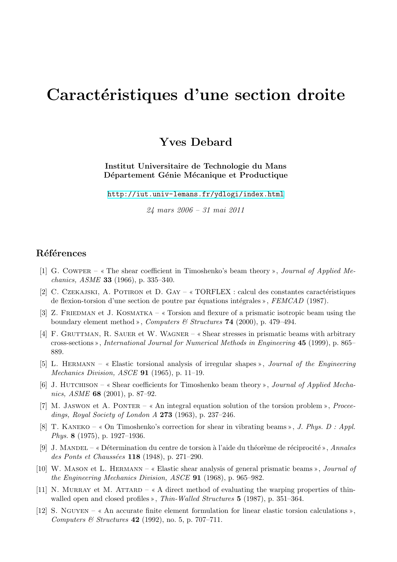## Caractéristiques d'une section droite

**Yves Debard**

**Institut Universitaire de Technologie du Mans** Département Génie Mécanique et Productique

http://iut.univ-lemans.fr/ydlogi/index.html

*24 mars 2006 – 31 mai 2011*

## **R´ef´erences**

- [1] G. Cowper The shear coefficient in Timoshenko's beam theory , *Journal of Applied Mechanics, ASME* **33** (1966), p. 335–340.
- [2] C. CZEKAJSKI, A. POTIRON et D. GAY  $\alpha$  TORFLEX : calcul des constantes caractéristiques de flexion-torsion d'une section de poutre par équations intégrales », *FEMCAD* (1987).
- [3] Z. FRIEDMAN et J. KOSMATKA  $\kappa$  Torsion and flexure of a prismatic isotropic beam using the boundary element method », *Computers & Structures* **74** (2000), p. 479–494.
- [4] F. Gruttman, R. Sauer et W. Wagner Shear stresses in prismatic beams with arbitrary cross-sections , *International Journal for Numerical Methods in Engineering* **45** (1999), p. 865– 889.
- [5] L. Hermann Elastic torsional analysis of irregular shapes , *Journal of the Engineering Mechanics Division, ASCE* **91** (1965), p. 11–19.
- [6] J. Hutchison Shear coefficients for Timoshenko beam theory , *Journal of Applied Mechanics, ASME* **68** (2001), p. 87–92.
- [7] M. JASWON et A. PONTER « An integral equation solution of the torsion problem », *Proceedings, Royal Society of London A* **273** (1963), p. 237–246.
- [8] T. KANEKO  $\ll$  On Timoshenko's correction for shear in vibrating beams  $\gg$ , *J. Phys. D : Appl. Phys.* **8** (1975), p. 1927–1936.
- [9] J. Mandel D´etermination du centre de torsion `a l'aide du th´eor`eme de r´eciprocit´e , *Annales des Ponts et Chauss´ees* **118** (1948), p. 271–290.
- [10] W. Mason et L. Hermann Elastic shear analysis of general prismatic beams , *Journal of the Engineering Mechanics Division, ASCE* **91** (1968), p. 965–982.
- [11] N. MURRAY et M. ATTARD  $\alpha$  A direct method of evaluating the warping properties of thinwalled open and closed profiles », *Thin-Walled Structures* **5** (1987), p. 351–364.
- [12] S. NGUYEN  $\alpha$  An accurate finite element formulation for linear elastic torsion calculations  $\alpha$ , *Computers & Structures* **42** (1992), no. 5, p. 707–711.